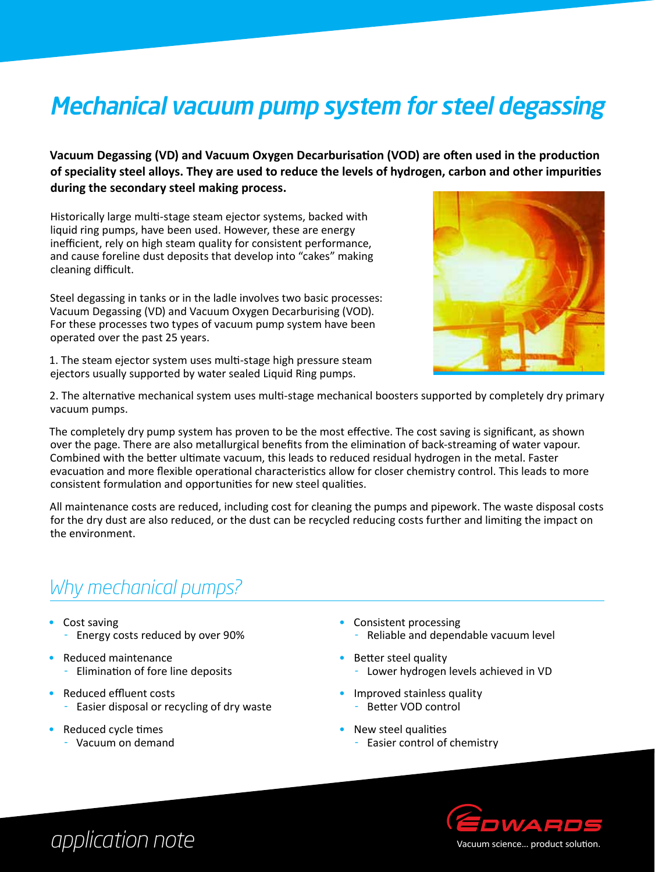# Mechanical vacuum pump system for steel degassing

**Vacuum Degassing (VD) and Vacuum Oxygen Decarburisation (VOD) are often used in the production of speciality steel alloys. They are used to reduce the levels of hydrogen, carbon and other impurities during the secondary steel making process.**

Historically large multi-stage steam ejector systems, backed with liquid ring pumps, have been used. However, these are energy inefficient, rely on high steam quality for consistent performance, and cause foreline dust deposits that develop into "cakes" making cleaning difficult.

Steel degassing in tanks or in the ladle involves two basic processes: Vacuum Degassing (VD) and Vacuum Oxygen Decarburising (VOD). For these processes two types of vacuum pump system have been operated over the past 25 years.

1. The steam ejector system uses multi-stage high pressure steam ejectors usually supported by water sealed Liquid Ring pumps.



2. The alternative mechanical system uses multi-stage mechanical boosters supported by completely dry primary vacuum pumps.

The completely dry pump system has proven to be the most effective. The cost saving is significant, as shown over the page. There are also metallurgical benefits from the elimination of back-streaming of water vapour. Combined with the better ultimate vacuum, this leads to reduced residual hydrogen in the metal. Faster evacuation and more flexible operational characteristics allow for closer chemistry control. This leads to more consistent formulation and opportunities for new steel qualities.

All maintenance costs are reduced, including cost for cleaning the pumps and pipework. The waste disposal costs for the dry dust are also reduced, or the dust can be recycled reducing costs further and limiting the impact on the environment.

### *Why mechanical pumps?*

- Cost saving Energy costs reduced by over 90%
- Reduced maintenance Elimination of fore line deposits
- • Reduced effluent costs
	- Easier disposal or recycling of dry waste
- Reduced cycle times
	- Vacuum on demand
- Consistent processing - Reliable and dependable vacuum level
- Better steel quality - Lower hydrogen levels achieved in VD
- Improved stainless quality - Better VOD control
- New steel qualities
	- Easier control of chemistry



## *application note*